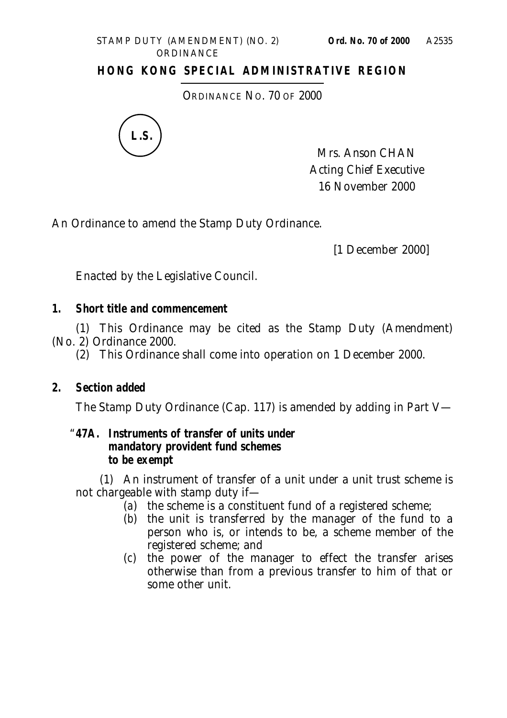#### STAMP DUTY (AMENDMENT) (NO. 2) **Ord. No. 70 of 2000 ORDINANCE**

## **HONG KONG SPECIAL ADMINISTRATIVE REGION**

ORDINANCE NO. 70 OF 2000



Mrs. Anson CHAN Acting Chief Executive 16 November 2000

An Ordinance to amend the Stamp Duty Ordinance.

[1 December 2000]

Enacted by the Legislative Council.

### **1. Short title and commencement**

(1) This Ordinance may be cited as the Stamp Duty (Amendment) (No. 2) Ordinance 2000.

(2) This Ordinance shall come into operation on 1 December 2000.

## **2. Section added**

The Stamp Duty Ordinance (Cap. 117) is amended by adding in Part V—

#### "**47A. Instruments of transfer of units under mandatory provident fund schemes to be exempt**

(1) An instrument of transfer of a unit under a unit trust scheme is not chargeable with stamp duty if—

- (*a*) the scheme is a constituent fund of a registered scheme;
- (*b*) the unit is transferred by the manager of the fund to a person who is, or intends to be, a scheme member of the registered scheme; and
- (*c*) the power of the manager to effect the transfer arises otherwise than from a previous transfer to him of that or some other unit.